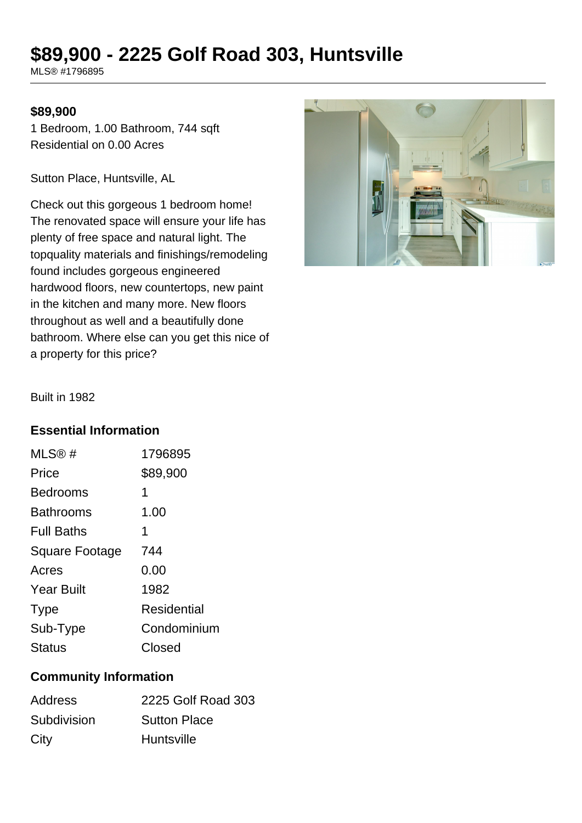# **\$89,900 - 2225 Golf Road 303, Huntsville**

MLS® #1796895

### **\$89,900**

1 Bedroom, 1.00 Bathroom, 744 sqft Residential on 0.00 Acres

Sutton Place, Huntsville, AL

Check out this gorgeous 1 bedroom home! The renovated space will ensure your life has plenty of free space and natural light. The topquality materials and finishings/remodeling found includes gorgeous engineered hardwood floors, new countertops, new paint in the kitchen and many more. New floors throughout as well and a beautifully done bathroom. Where else can you get this nice of a property for this price?



Built in 1982

### **Essential Information**

| 1796895     |
|-------------|
| \$89,900    |
| 1           |
| 1.00        |
| 1           |
| 744         |
| 0.00        |
| 1982        |
| Residential |
| Condominium |
| Closed      |
|             |

# **Community Information**

| <b>Address</b> | 2225 Golf Road 303  |
|----------------|---------------------|
| Subdivision    | <b>Sutton Place</b> |
| City           | <b>Huntsville</b>   |